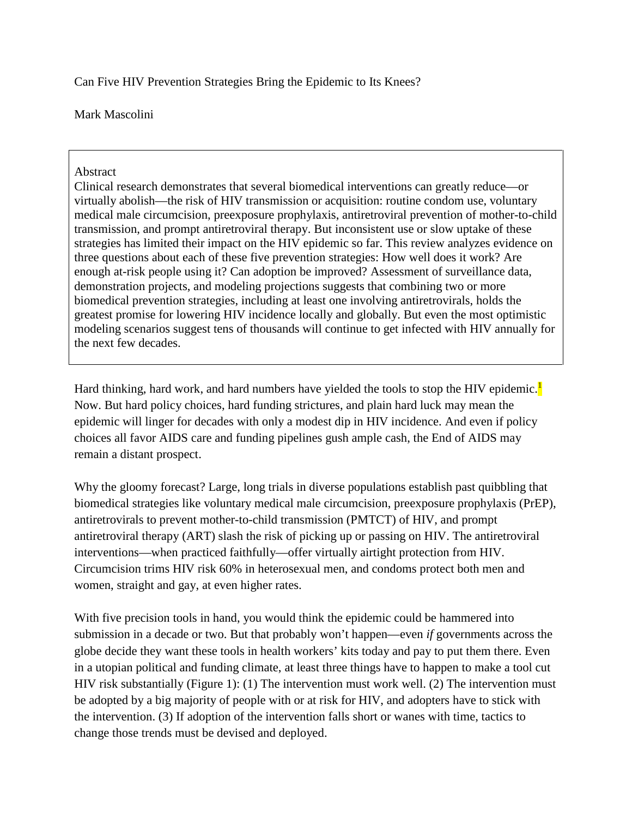Can Five HIV Prevention Strategies Bring the Epidemic to Its Knees?

Mark Mascolini

#### Abstract

Clinical research demonstrates that several biomedical interventions can greatly reduce—or virtually abolish—the risk of HIV transmission or acquisition: routine condom use, voluntary medical male circumcision, preexposure prophylaxis, antiretroviral prevention of mother-to-child transmission, and prompt antiretroviral therapy. But inconsistent use or slow uptake of these strategies has limited their impact on the HIV epidemic so far. This review analyzes evidence on three questions about each of these five prevention strategies: How well does it work? Are enough at-risk people using it? Can adoption be improved? Assessment of surveillance data, demonstration projects, and modeling projections suggests that combining two or more biomedical prevention strategies, including at least one involving antiretrovirals, holds the greatest promise for lowering HIV incidence locally and globally. But even the most optimistic modeling scenarios suggest tens of thousands will continue to get infected with HIV annually for the next few decades.

Hard thinking, hard work, and hard numbers have yielded the tools to stop the HIV epidemic. Now. But hard policy choices, hard funding strictures, and plain hard luck may mean the epidemic will linger for decades with only a modest dip in HIV incidence. And even if policy choices all favor AIDS care and funding pipelines gush ample cash, the End of AIDS may remain a distant prospect.

Why the gloomy forecast? Large, long trials in diverse populations establish past quibbling that biomedical strategies like voluntary medical male circumcision, preexposure prophylaxis (PrEP), antiretrovirals to prevent mother-to-child transmission (PMTCT) of HIV, and prompt antiretroviral therapy (ART) slash the risk of picking up or passing on HIV. The antiretroviral interventions—when practiced faithfully—offer virtually airtight protection from HIV. Circumcision trims HIV risk 60% in heterosexual men, and condoms protect both men and women, straight and gay, at even higher rates.

With five precision tools in hand, you would think the epidemic could be hammered into submission in a decade or two. But that probably won't happen—even *if* governments across the globe decide they want these tools in health workers' kits today and pay to put them there. Even in a utopian political and funding climate, at least three things have to happen to make a tool cut HIV risk substantially (Figure 1): (1) The intervention must work well. (2) The intervention must be adopted by a big majority of people with or at risk for HIV, and adopters have to stick with the intervention. (3) If adoption of the intervention falls short or wanes with time, tactics to change those trends must be devised and deployed.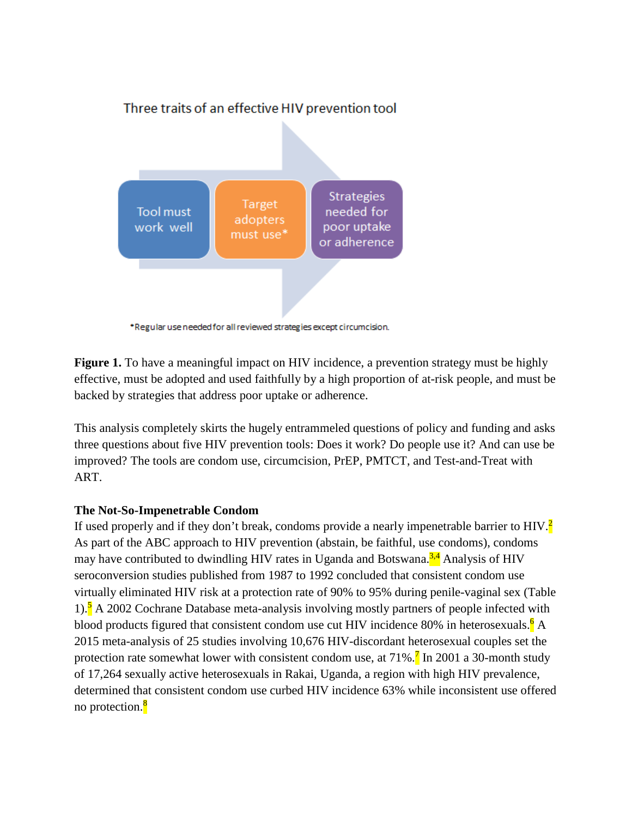

\*Regular use needed for all reviewed strategies except circumcision.

**Figure 1.** To have a meaningful impact on HIV incidence, a prevention strategy must be highly effective, must be adopted and used faithfully by a high proportion of at-risk people, and must be backed by strategies that address poor uptake or adherence.

This analysis completely skirts the hugely entrammeled questions of policy and funding and asks three questions about five HIV prevention tools: Does it work? Do people use it? And can use be improved? The tools are condom use, circumcision, PrEP, PMTCT, and Test-and-Treat with ART.

## **The Not-So-Impenetrable Condom**

If used properly and if they don't break, condoms provide a nearly impenetrable barrier to HIV.<sup>2</sup> As part of the ABC approach to HIV prevention (abstain, be faithful, use condoms), condoms may have contributed to dwindling HIV rates in Uganda and Botswana. $34$  Analysis of HIV seroconversion studies published from 1987 to 1992 concluded that consistent condom use virtually eliminated HIV risk at a protection rate of 90% to 95% during penile-vaginal sex (Table 1).<sup>5</sup> A 2002 Cochrane Database meta-analysis involving mostly partners of people infected with blood products figured that consistent condom use cut HIV incidence 80% in heterosexuals.<sup>6</sup> A 2015 meta-analysis of 25 studies involving 10,676 HIV-discordant heterosexual couples set the protection rate somewhat lower with consistent condom use, at  $71\%$ .<sup>7</sup> In 2001 a 30-month study of 17,264 sexually active heterosexuals in Rakai, Uganda, a region with high HIV prevalence, determined that consistent condom use curbed HIV incidence 63% while inconsistent use offered no protection.<sup>8</sup>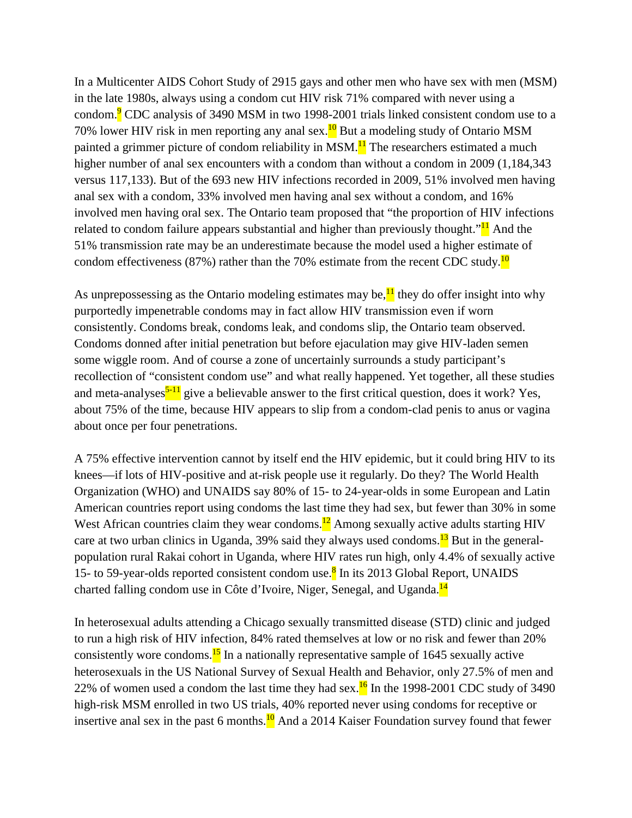In a Multicenter AIDS Cohort Study of 2915 gays and other men who have sex with men (MSM) in the late 1980s, always using a condom cut HIV risk 71% compared with never using a condom.<sup>9</sup> CDC analysis of 3490 MSM in two 1998-2001 trials linked consistent condom use to a 70% lower HIV risk in men reporting any anal sex. $^{10}$  But a modeling study of Ontario MSM painted a grimmer picture of condom reliability in MSM.<sup>11</sup> The researchers estimated a much higher number of anal sex encounters with a condom than without a condom in 2009 (1,184,343) versus 117,133). But of the 693 new HIV infections recorded in 2009, 51% involved men having anal sex with a condom, 33% involved men having anal sex without a condom, and 16% involved men having oral sex. The Ontario team proposed that "the proportion of HIV infections related to condom failure appears substantial and higher than previously thought.<sup>" $11$ </sup> And the 51% transmission rate may be an underestimate because the model used a higher estimate of condom effectiveness (87%) rather than the 70% estimate from the recent CDC study.<sup>10</sup>

As unprepossessing as the Ontario modeling estimates may be, $\frac{11}{11}$  they do offer insight into why purportedly impenetrable condoms may in fact allow HIV transmission even if worn consistently. Condoms break, condoms leak, and condoms slip, the Ontario team observed. Condoms donned after initial penetration but before ejaculation may give HIV-laden semen some wiggle room. And of course a zone of uncertainly surrounds a study participant's recollection of "consistent condom use" and what really happened. Yet together, all these studies and meta-analyses<sup> $5-11$ </sup> give a believable answer to the first critical question, does it work? Yes, about 75% of the time, because HIV appears to slip from a condom-clad penis to anus or vagina about once per four penetrations.

A 75% effective intervention cannot by itself end the HIV epidemic, but it could bring HIV to its knees—if lots of HIV-positive and at-risk people use it regularly. Do they? The World Health Organization (WHO) and UNAIDS say 80% of 15- to 24-year-olds in some European and Latin American countries report using condoms the last time they had sex, but fewer than 30% in some West African countries claim they wear condoms.<sup>12</sup> Among sexually active adults starting HIV care at two urban clinics in Uganda, 39% said they always used condoms.<sup>13</sup> But in the generalpopulation rural Rakai cohort in Uganda, where HIV rates run high, only 4.4% of sexually active 15- to 59-year-olds reported consistent condom use.<sup>8</sup> In its 2013 Global Report, UNAIDS charted falling condom use in Côte d'Ivoire, Niger, Senegal, and Uganda.<sup>14</sup>

In heterosexual adults attending a Chicago sexually transmitted disease (STD) clinic and judged to run a high risk of HIV infection, 84% rated themselves at low or no risk and fewer than 20% consistently wore condoms.<sup>15</sup> In a nationally representative sample of 1645 sexually active heterosexuals in the US National Survey of Sexual Health and Behavior, only 27.5% of men and 22% of women used a condom the last time they had sex.<sup>16</sup> In the 1998-2001 CDC study of 3490 high-risk MSM enrolled in two US trials, 40% reported never using condoms for receptive or insertive anal sex in the past 6 months. $\frac{10}{2}$  And a 2014 Kaiser Foundation survey found that fewer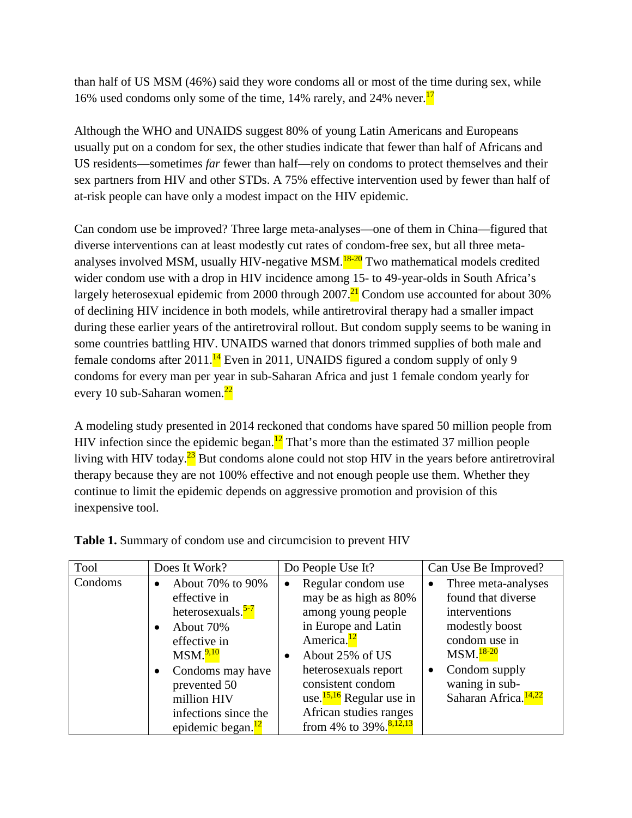than half of US MSM (46%) said they wore condoms all or most of the time during sex, while 16% used condoms only some of the time, 14% rarely, and 24% never.<sup>17</sup>

Although the WHO and UNAIDS suggest 80% of young Latin Americans and Europeans usually put on a condom for sex, the other studies indicate that fewer than half of Africans and US residents—sometimes *far* fewer than half—rely on condoms to protect themselves and their sex partners from HIV and other STDs. A 75% effective intervention used by fewer than half of at-risk people can have only a modest impact on the HIV epidemic.

Can condom use be improved? Three large meta-analyses—one of them in China—figured that diverse interventions can at least modestly cut rates of condom-free sex, but all three metaanalyses involved MSM, usually HIV-negative MSM.<sup>18-20</sup> Two mathematical models credited wider condom use with a drop in HIV incidence among 15- to 49-year-olds in South Africa's largely heterosexual epidemic from 2000 through  $2007$ .<sup>21</sup> Condom use accounted for about 30% of declining HIV incidence in both models, while antiretroviral therapy had a smaller impact during these earlier years of the antiretroviral rollout. But condom supply seems to be waning in some countries battling HIV. UNAIDS warned that donors trimmed supplies of both male and female condoms after 2011.<sup>14</sup> Even in 2011, UNAIDS figured a condom supply of only 9 condoms for every man per year in sub-Saharan Africa and just 1 female condom yearly for every 10 sub-Saharan women.<sup>22</sup>

A modeling study presented in 2014 reckoned that condoms have spared 50 million people from HIV infection since the epidemic began.<sup>12</sup> That's more than the estimated 37 million people living with HIV today. $^{23}$  But condoms alone could not stop HIV in the years before antiretroviral therapy because they are not 100% effective and not enough people use them. Whether they continue to limit the epidemic depends on aggressive promotion and provision of this inexpensive tool.

| Tool    | Does It Work?                                                                                                                                                                                                                                                             | Do People Use It?                                                                                                                                                                                                                                                                                                     | Can Use Be Improved?                                                                                                                                                                                          |
|---------|---------------------------------------------------------------------------------------------------------------------------------------------------------------------------------------------------------------------------------------------------------------------------|-----------------------------------------------------------------------------------------------------------------------------------------------------------------------------------------------------------------------------------------------------------------------------------------------------------------------|---------------------------------------------------------------------------------------------------------------------------------------------------------------------------------------------------------------|
| Condoms | About 70% to 90%<br>$\bullet$<br>effective in<br>heterosexuals. <sup>5-7</sup><br>About 70%<br>$\bullet$<br>effective in<br>MSM. <sup>9,10</sup><br>Condoms may have<br>$\bullet$<br>prevented 50<br>million HIV<br>infections since the<br>epidemic began. <sup>12</sup> | Regular condom use<br>$\bullet$<br>may be as high as 80%<br>among young people<br>in Europe and Latin<br>America. <sup>12</sup><br>About 25% of US<br>$\bullet$<br>heterosexuals report<br>consistent condom<br>use. $\frac{15,16}{2}$ Regular use in<br>African studies ranges<br>from 4% to 39%. <sup>8,12,13</sup> | Three meta-analyses<br>$\bullet$<br>found that diverse<br>interventions<br>modestly boost<br>condom use in<br>$MSM.18-20$<br>Condom supply<br>$\bullet$<br>waning in sub-<br>Saharan Africa. <sup>14,22</sup> |

**Table 1.** Summary of condom use and circumcision to prevent HIV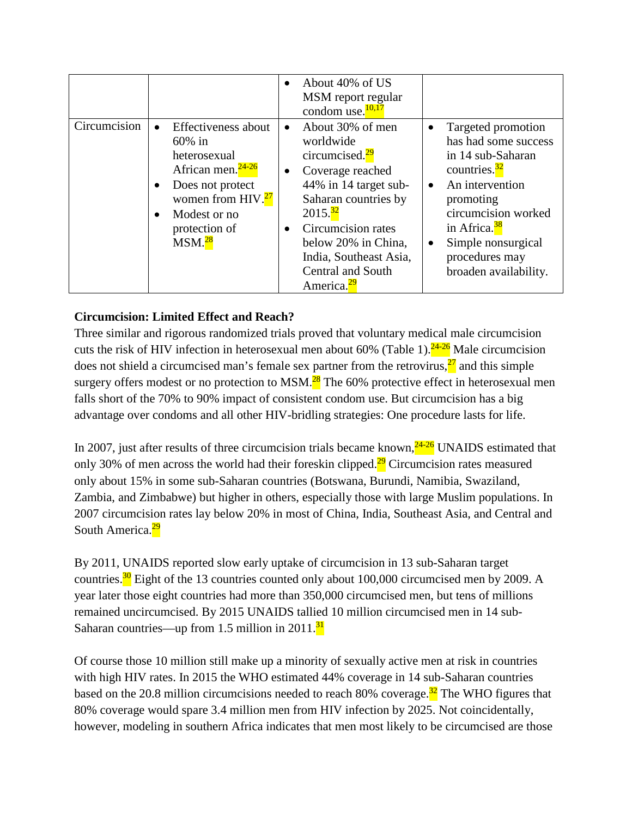|              |                                                                                                                                                                                                                                      | About 40% of US<br>MSM report regular<br>condom use. <sup>10,17</sup>                                                                                                                                                                                                                      |                                                                                                                                                                                                                                                                                         |
|--------------|--------------------------------------------------------------------------------------------------------------------------------------------------------------------------------------------------------------------------------------|--------------------------------------------------------------------------------------------------------------------------------------------------------------------------------------------------------------------------------------------------------------------------------------------|-----------------------------------------------------------------------------------------------------------------------------------------------------------------------------------------------------------------------------------------------------------------------------------------|
| Circumcision | Effectiveness about<br>$\bullet$<br>$60\%$ in<br>heterosexual<br>African men. <sup>24-26</sup><br>Does not protect<br>$\bullet$<br>women from HIV. <sup>27</sup><br>Modest or no<br>$\bullet$<br>protection of<br>MSM. <sup>28</sup> | About 30% of men<br>worldwide<br>circumcised. <sup>29</sup><br>Coverage reached<br>$\bullet$<br>44% in 14 target sub-<br>Saharan countries by<br>$2015.\frac{32}{ }$<br>Circumcision rates<br>below 20% in China,<br>India, Southeast Asia,<br>Central and South<br>America. <sup>29</sup> | Targeted promotion<br>$\bullet$<br>has had some success<br>in 14 sub-Saharan<br>countries. $\frac{32}{ }$<br>An intervention<br>$\bullet$<br>promoting<br>circumcision worked<br>in Africa. <sup>38</sup><br>Simple nonsurgical<br>$\bullet$<br>procedures may<br>broaden availability. |

# **Circumcision: Limited Effect and Reach?**

Three similar and rigorous randomized trials proved that voluntary medical male circumcision cuts the risk of HIV infection in heterosexual men about 60% (Table 1).<sup>24-26</sup> Male circumcision does not shield a circumcised man's female sex partner from the retrovirus, $\frac{27}{1}$  and this simple surgery offers modest or no protection to MSM. $^{28}$  The 60% protective effect in heterosexual men falls short of the 70% to 90% impact of consistent condom use. But circumcision has a big advantage over condoms and all other HIV-bridling strategies: One procedure lasts for life.

In 2007, just after results of three circumcision trials became known, $24-26$  UNAIDS estimated that only 30% of men across the world had their foreskin clipped. $\frac{29}{5}$  Circumcision rates measured only about 15% in some sub-Saharan countries (Botswana, Burundi, Namibia, Swaziland, Zambia, and Zimbabwe) but higher in others, especially those with large Muslim populations. In 2007 circumcision rates lay below 20% in most of China, India, Southeast Asia, and Central and South America.<sup>29</sup>

By 2011, UNAIDS reported slow early uptake of circumcision in 13 sub-Saharan target countries. $\frac{30}{10}$  Eight of the 13 countries counted only about 100,000 circumcised men by 2009. A year later those eight countries had more than 350,000 circumcised men, but tens of millions remained uncircumcised. By 2015 UNAIDS tallied 10 million circumcised men in 14 sub-Saharan countries—up from 1.5 million in  $2011.\frac{31}{1}$ 

Of course those 10 million still make up a minority of sexually active men at risk in countries with high HIV rates. In 2015 the WHO estimated 44% coverage in 14 sub-Saharan countries based on the 20.8 million circumcisions needed to reach 80% coverage.<sup>32</sup> The WHO figures that 80% coverage would spare 3.4 million men from HIV infection by 2025. Not coincidentally, however, modeling in southern Africa indicates that men most likely to be circumcised are those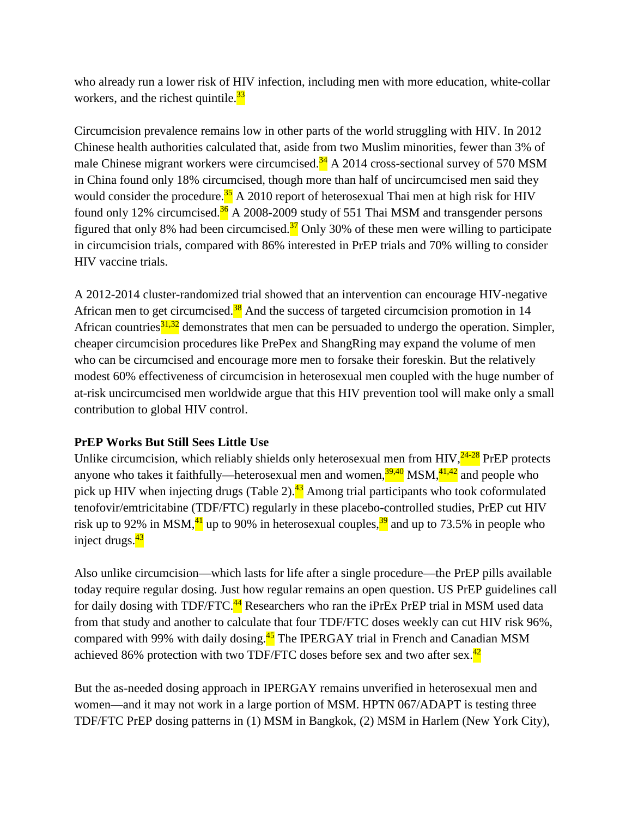who already run a lower risk of HIV infection, including men with more education, white-collar workers, and the richest quintile. $\frac{33}{2}$ 

Circumcision prevalence remains low in other parts of the world struggling with HIV. In 2012 Chinese health authorities calculated that, aside from two Muslim minorities, fewer than 3% of male Chinese migrant workers were circumcised. $34$  A 2014 cross-sectional survey of 570 MSM in China found only 18% circumcised, though more than half of uncircumcised men said they would consider the procedure.<sup>35</sup> A 2010 report of heterosexual Thai men at high risk for HIV found only 12% circumcised. $36$  A 2008-2009 study of 551 Thai MSM and transgender persons figured that only 8% had been circumcised.<sup>37</sup> Only 30% of these men were willing to participate in circumcision trials, compared with 86% interested in PrEP trials and 70% willing to consider HIV vaccine trials.

A 2012-2014 cluster-randomized trial showed that an intervention can encourage HIV-negative African men to get circumcised. $38$  And the success of targeted circumcision promotion in 14 African countries $31,32$  demonstrates that men can be persuaded to undergo the operation. Simpler, cheaper circumcision procedures like PrePex and ShangRing may expand the volume of men who can be circumcised and encourage more men to forsake their foreskin. But the relatively modest 60% effectiveness of circumcision in heterosexual men coupled with the huge number of at-risk uncircumcised men worldwide argue that this HIV prevention tool will make only a small contribution to global HIV control.

## **PrEP Works But Still Sees Little Use**

Unlike circumcision, which reliably shields only heterosexual men from HIV, $^{24-28}$  PrEP protects anyone who takes it faithfully—heterosexual men and women, $\frac{39,40}{11,42}$  MSM, $\frac{41,42}{11,42}$  and people who pick up HIV when injecting drugs (Table 2).<sup>43</sup> Among trial participants who took coformulated tenofovir/emtricitabine (TDF/FTC) regularly in these placebo-controlled studies, PrEP cut HIV risk up to 92% in MSM, $\frac{41}{1}$  up to 90% in heterosexual couples, $\frac{39}{12}$  and up to 73.5% in people who inject drugs. $\frac{43}{2}$ 

Also unlike circumcision—which lasts for life after a single procedure—the PrEP pills available today require regular dosing. Just how regular remains an open question. US PrEP guidelines call for daily dosing with TDF/FTC. $^{44}$  Researchers who ran the iPrEx PrEP trial in MSM used data from that study and another to calculate that four TDF/FTC doses weekly can cut HIV risk 96%, compared with 99% with daily dosing.<sup>45</sup> The IPERGAY trial in French and Canadian MSM achieved 86% protection with two TDF/FTC doses before sex and two after sex. $^{42}$ 

But the as-needed dosing approach in IPERGAY remains unverified in heterosexual men and women—and it may not work in a large portion of MSM. HPTN 067/ADAPT is testing three TDF/FTC PrEP dosing patterns in (1) MSM in Bangkok, (2) MSM in Harlem (New York City),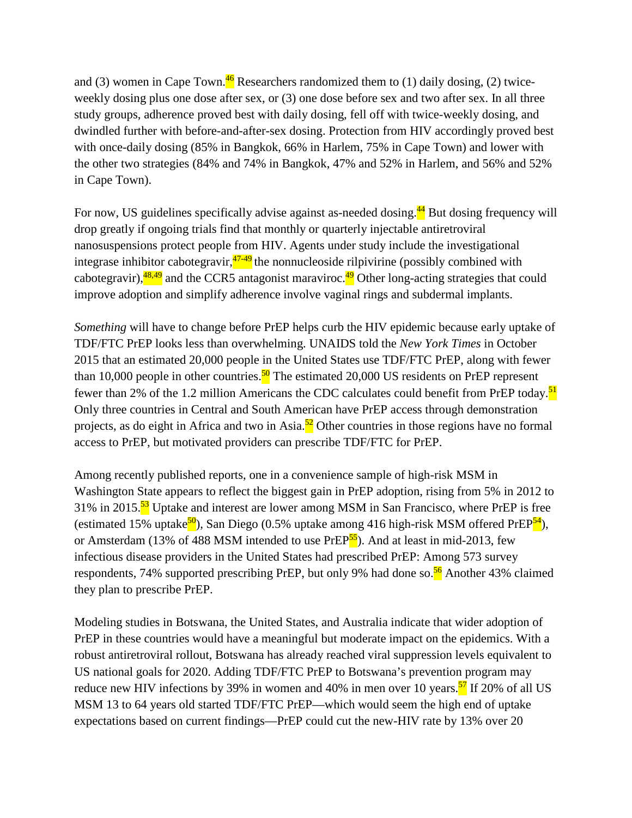and (3) women in Cape Town.<sup>46</sup> Researchers randomized them to (1) daily dosing, (2) twiceweekly dosing plus one dose after sex, or (3) one dose before sex and two after sex. In all three study groups, adherence proved best with daily dosing, fell off with twice-weekly dosing, and dwindled further with before-and-after-sex dosing. Protection from HIV accordingly proved best with once-daily dosing (85% in Bangkok, 66% in Harlem, 75% in Cape Town) and lower with the other two strategies (84% and 74% in Bangkok, 47% and 52% in Harlem, and 56% and 52% in Cape Town).

For now, US guidelines specifically advise against as-needed dosing. $44$  But dosing frequency will drop greatly if ongoing trials find that monthly or quarterly injectable antiretroviral nanosuspensions protect people from HIV. Agents under study include the investigational integrase inhibitor cabotegravir,  $47-49$  the nonnucleoside rilpivirine (possibly combined with cabotegravir), $\frac{48,49}{ }$  and the CCR5 antagonist maraviroc.<sup>49</sup> Other long-acting strategies that could improve adoption and simplify adherence involve vaginal rings and subdermal implants.

*Something* will have to change before PrEP helps curb the HIV epidemic because early uptake of TDF/FTC PrEP looks less than overwhelming. UNAIDS told the *New York Times* in October 2015 that an estimated 20,000 people in the United States use TDF/FTC PrEP, along with fewer than 10,000 people in other countries.<sup>50</sup> The estimated 20,000 US residents on PrEP represent fewer than 2% of the 1.2 million Americans the CDC calculates could benefit from PrEP today.<sup>51</sup> Only three countries in Central and South American have PrEP access through demonstration projects, as do eight in Africa and two in Asia.<sup>52</sup> Other countries in those regions have no formal access to PrEP, but motivated providers can prescribe TDF/FTC for PrEP.

Among recently published reports, one in a convenience sample of high-risk MSM in Washington State appears to reflect the biggest gain in PrEP adoption, rising from 5% in 2012 to 31% in 2015.<sup>53</sup> Uptake and interest are lower among MSM in San Francisco, where PrEP is free (estimated 15% uptake<sup>50</sup>), San Diego (0.5% uptake among 416 high-risk MSM offered PrEP<sup>54</sup>), or Amsterdam (13% of 488 MSM intended to use PrEP<sup>55</sup>). And at least in mid-2013, few infectious disease providers in the United States had prescribed PrEP: Among 573 survey respondents, 74% supported prescribing PrEP, but only 9% had done so.<sup>56</sup> Another 43% claimed they plan to prescribe PrEP.

Modeling studies in Botswana, the United States, and Australia indicate that wider adoption of PrEP in these countries would have a meaningful but moderate impact on the epidemics. With a robust antiretroviral rollout, Botswana has already reached viral suppression levels equivalent to US national goals for 2020. Adding TDF/FTC PrEP to Botswana's prevention program may reduce new HIV infections by 39% in women and 40% in men over 10 years.<sup>57</sup> If 20% of all US MSM 13 to 64 years old started TDF/FTC PrEP—which would seem the high end of uptake expectations based on current findings—PrEP could cut the new-HIV rate by 13% over 20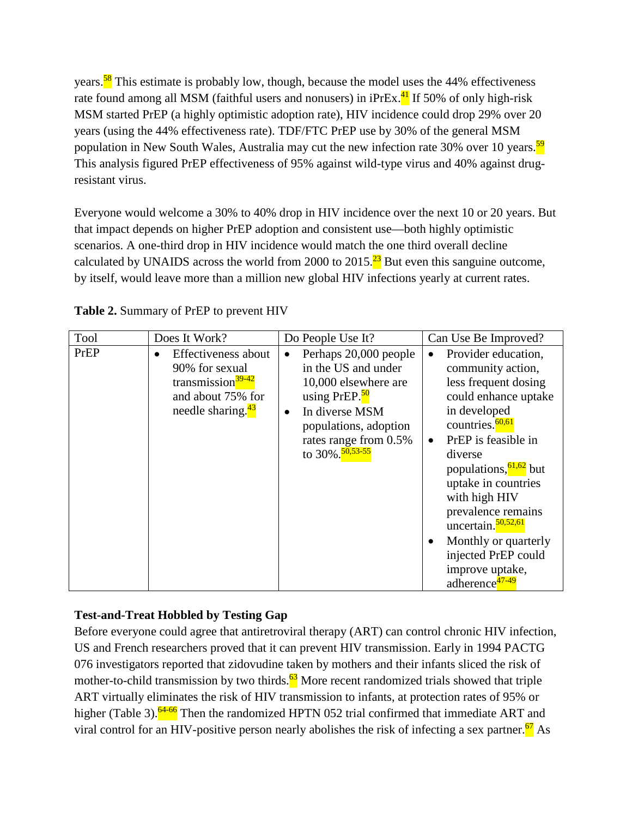years.<sup>58</sup> This estimate is probably low, though, because the model uses the 44% effectiveness rate found among all MSM (faithful users and nonusers) in  $iPrEx<sup>41</sup>$  If 50% of only high-risk MSM started PrEP (a highly optimistic adoption rate), HIV incidence could drop 29% over 20 years (using the 44% effectiveness rate). TDF/FTC PrEP use by 30% of the general MSM population in New South Wales, Australia may cut the new infection rate 30% over 10 years.<sup>59</sup> This analysis figured PrEP effectiveness of 95% against wild-type virus and 40% against drugresistant virus.

Everyone would welcome a 30% to 40% drop in HIV incidence over the next 10 or 20 years. But that impact depends on higher PrEP adoption and consistent use—both highly optimistic scenarios. A one-third drop in HIV incidence would match the one third overall decline calculated by UNAIDS across the world from 2000 to 2015.<sup>23</sup> But even this sanguine outcome, by itself, would leave more than a million new global HIV infections yearly at current rates.

| Tool | Does It Work?                                                                                                                             | Do People Use It?                                                                                                                                                                                                 | Can Use Be Improved?                                                                                                                                                                                                                                                                                                                                                                                                                                   |
|------|-------------------------------------------------------------------------------------------------------------------------------------------|-------------------------------------------------------------------------------------------------------------------------------------------------------------------------------------------------------------------|--------------------------------------------------------------------------------------------------------------------------------------------------------------------------------------------------------------------------------------------------------------------------------------------------------------------------------------------------------------------------------------------------------------------------------------------------------|
| PrEP | Effectiveness about<br>$\bullet$<br>90% for sexual<br>transmission <sup>39-42</sup><br>and about 75% for<br>needle sharing. <sup>43</sup> | Perhaps 20,000 people<br>in the US and under<br>10,000 elsewhere are<br>using PrEP. <sup>50</sup><br>In diverse MSM<br>$\bullet$<br>populations, adoption<br>rates range from 0.5%<br>to 30%. <sup>50,53-55</sup> | Provider education,<br>$\bullet$<br>community action,<br>less frequent dosing<br>could enhance uptake<br>in developed<br>countries. <sup>60,61</sup><br>PrEP is feasible in<br>$\bullet$<br>diverse<br>populations, <sup>61,62</sup> but<br>uptake in countries<br>with high HIV<br>prevalence remains<br>uncertain. $\frac{50,52,61}{2}$<br>Monthly or quarterly<br>$\bullet$<br>injected PrEP could<br>improve uptake,<br>adherence <sup>47-49</sup> |

**Table 2.** Summary of PrEP to prevent HIV

# **Test-and-Treat Hobbled by Testing Gap**

Before everyone could agree that antiretroviral therapy (ART) can control chronic HIV infection, US and French researchers proved that it can prevent HIV transmission. Early in 1994 PACTG 076 investigators reported that zidovudine taken by mothers and their infants sliced the risk of mother-to-child transmission by two thirds. $\frac{63}{2}$  More recent randomized trials showed that triple ART virtually eliminates the risk of HIV transmission to infants, at protection rates of 95% or higher (Table 3).<sup>64-66</sup> Then the randomized HPTN 052 trial confirmed that immediate ART and viral control for an HIV-positive person nearly abolishes the risk of infecting a sex partner.<sup>67</sup> As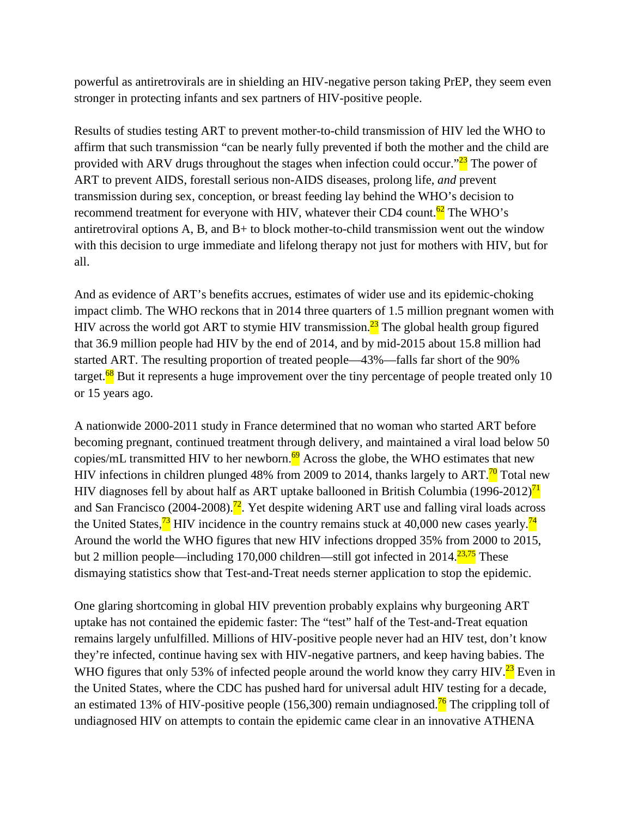powerful as antiretrovirals are in shielding an HIV-negative person taking PrEP, they seem even stronger in protecting infants and sex partners of HIV-positive people.

Results of studies testing ART to prevent mother-to-child transmission of HIV led the WHO to affirm that such transmission "can be nearly fully prevented if both the mother and the child are provided with ARV drugs throughout the stages when infection could occur." $\frac{23}{23}$  The power of ART to prevent AIDS, forestall serious non-AIDS diseases, prolong life, *and* prevent transmission during sex, conception, or breast feeding lay behind the WHO's decision to recommend treatment for everyone with HIV, whatever their CD4 count.<sup>62</sup> The WHO's antiretroviral options A, B, and B+ to block mother-to-child transmission went out the window with this decision to urge immediate and lifelong therapy not just for mothers with HIV, but for all.

And as evidence of ART's benefits accrues, estimates of wider use and its epidemic-choking impact climb. The WHO reckons that in 2014 three quarters of 1.5 million pregnant women with HIV across the world got ART to stymie HIV transmission.<sup>23</sup> The global health group figured that 36.9 million people had HIV by the end of 2014, and by mid-2015 about 15.8 million had started ART. The resulting proportion of treated people—43%—falls far short of the 90% target.<sup>68</sup> But it represents a huge improvement over the tiny percentage of people treated only 10 or 15 years ago.

A nationwide 2000-2011 study in France determined that no woman who started ART before becoming pregnant, continued treatment through delivery, and maintained a viral load below 50 copies/mL transmitted HIV to her newborn.<sup>69</sup> Across the globe, the WHO estimates that new HIV infections in children plunged 48% from 2009 to 2014, thanks largely to ART.<sup>70</sup> Total new HIV diagnoses fell by about half as ART uptake ballooned in British Columbia (1996-2012)<sup>71</sup> and San Francisco (2004-2008).<sup>72</sup>. Yet despite widening ART use and falling viral loads across the United States,  $\frac{73}{11}$  HIV incidence in the country remains stuck at 40,000 new cases yearly.  $\frac{74}{11}$ Around the world the WHO figures that new HIV infections dropped 35% from 2000 to 2015, but 2 million people—including 170,000 children—still got infected in 2014.<sup>23,75</sup> These dismaying statistics show that Test-and-Treat needs sterner application to stop the epidemic.

One glaring shortcoming in global HIV prevention probably explains why burgeoning ART uptake has not contained the epidemic faster: The "test" half of the Test-and-Treat equation remains largely unfulfilled. Millions of HIV-positive people never had an HIV test, don't know they're infected, continue having sex with HIV-negative partners, and keep having babies. The WHO figures that only 53% of infected people around the world know they carry HIV.<sup>23</sup> Even in the United States, where the CDC has pushed hard for universal adult HIV testing for a decade, an estimated 13% of HIV-positive people (156,300) remain undiagnosed.<sup>76</sup> The crippling toll of undiagnosed HIV on attempts to contain the epidemic came clear in an innovative ATHENA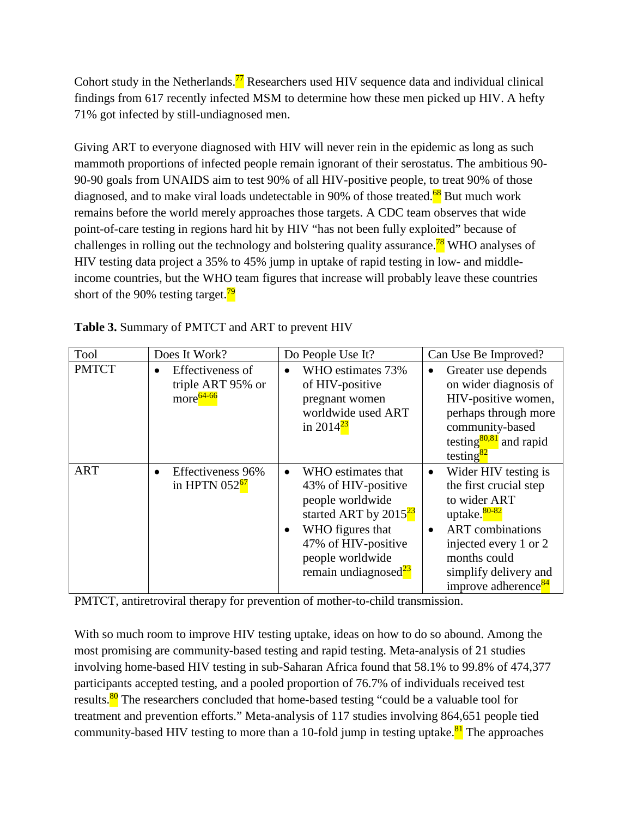Cohort study in the Netherlands.<sup>77</sup> Researchers used HIV sequence data and individual clinical findings from 617 recently infected MSM to determine how these men picked up HIV. A hefty 71% got infected by still-undiagnosed men.

Giving ART to everyone diagnosed with HIV will never rein in the epidemic as long as such mammoth proportions of infected people remain ignorant of their serostatus. The ambitious 90- 90-90 goals from UNAIDS aim to test 90% of all HIV-positive people, to treat 90% of those diagnosed, and to make viral loads undetectable in 90% of those treated.<sup>68</sup> But much work remains before the world merely approaches those targets. A CDC team observes that wide point-of-care testing in regions hard hit by HIV "has not been fully exploited" because of challenges in rolling out the technology and bolstering quality assurance.<sup>78</sup> WHO analyses of HIV testing data project a 35% to 45% jump in uptake of rapid testing in low- and middleincome countries, but the WHO team figures that increase will probably leave these countries short of the 90% testing target. $\frac{79}{2}$ 

| Tool         | Does It Work?                                                               | Do People Use It?                                                                                                                                                                                           | Can Use Be Improved?                                                                                                                                                                                                                    |
|--------------|-----------------------------------------------------------------------------|-------------------------------------------------------------------------------------------------------------------------------------------------------------------------------------------------------------|-----------------------------------------------------------------------------------------------------------------------------------------------------------------------------------------------------------------------------------------|
| <b>PMTCT</b> | Effectiveness of<br>$\bullet$<br>triple ART 95% or<br>more <sup>64-66</sup> | WHO estimates 73%<br>$\bullet$<br>of HIV-positive<br>pregnant women<br>worldwide used ART<br>in 2014 <sup>23</sup>                                                                                          | Greater use depends<br>on wider diagnosis of<br>HIV-positive women,<br>perhaps through more<br>community-based<br>testing $80,81$ and rapid<br>testing <sup>82</sup>                                                                    |
| <b>ART</b>   | Effectiveness 96%<br>$\bullet$<br>in HPTN $052^{67}$                        | WHO estimates that<br>$\bullet$<br>43% of HIV-positive<br>people worldwide<br>started ART by $2015^{23}$<br>WHO figures that<br>47% of HIV-positive<br>people worldwide<br>remain undiagnosed <sup>23</sup> | Wider HIV testing is<br>$\bullet$<br>the first crucial step<br>to wider ART<br>uptake. <sup>80-82</sup><br><b>ART</b> combinations<br>injected every 1 or 2<br>months could<br>simplify delivery and<br>improve adherence <sup>84</sup> |

**Table 3.** Summary of PMTCT and ART to prevent HIV

PMTCT, antiretroviral therapy for prevention of mother-to-child transmission.

With so much room to improve HIV testing uptake, ideas on how to do so abound. Among the most promising are community-based testing and rapid testing. Meta-analysis of 21 studies involving home-based HIV testing in sub-Saharan Africa found that 58.1% to 99.8% of 474,377 participants accepted testing, and a pooled proportion of 76.7% of individuals received test results.<sup>80</sup> The researchers concluded that home-based testing "could be a valuable tool for treatment and prevention efforts." Meta-analysis of 117 studies involving 864,651 people tied community-based HIV testing to more than a 10-fold jump in testing uptake.<sup>81</sup> The approaches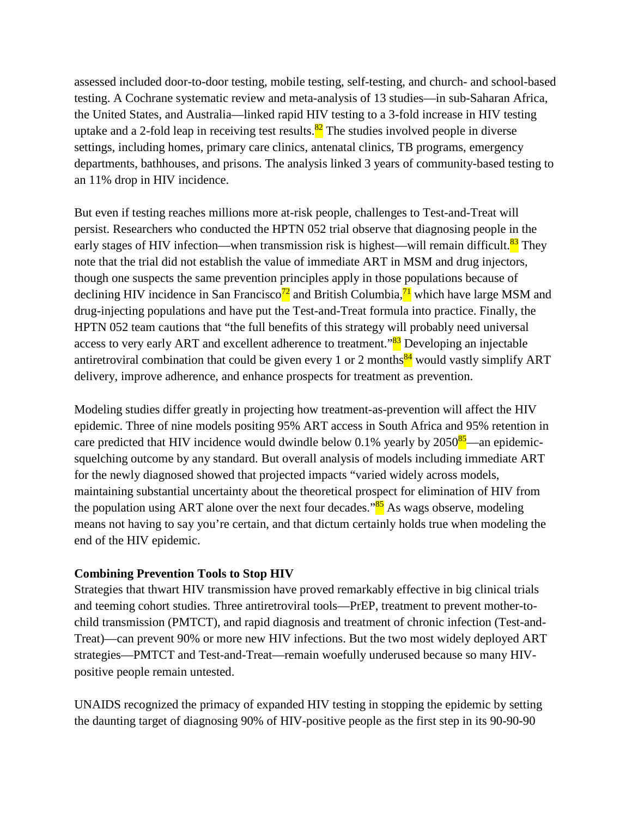assessed included door-to-door testing, mobile testing, self-testing, and church- and school-based testing. A Cochrane systematic review and meta-analysis of 13 studies—in sub-Saharan Africa, the United States, and Australia—linked rapid HIV testing to a 3-fold increase in HIV testing uptake and a 2-fold leap in receiving test results.<sup>82</sup> The studies involved people in diverse settings, including homes, primary care clinics, antenatal clinics, TB programs, emergency departments, bathhouses, and prisons. The analysis linked 3 years of community-based testing to an 11% drop in HIV incidence.

But even if testing reaches millions more at-risk people, challenges to Test-and-Treat will persist. Researchers who conducted the HPTN 052 trial observe that diagnosing people in the early stages of HIV infection—when transmission risk is highest—will remain difficult.<sup>83</sup> They note that the trial did not establish the value of immediate ART in MSM and drug injectors, though one suspects the same prevention principles apply in those populations because of declining HIV incidence in San Francisco<sup>72</sup> and British Columbia, $\frac{71}{1}$  which have large MSM and drug-injecting populations and have put the Test-and-Treat formula into practice. Finally, the HPTN 052 team cautions that "the full benefits of this strategy will probably need universal access to very early ART and excellent adherence to treatment."<sup>83</sup> Developing an injectable antiretroviral combination that could be given every 1 or 2 months<sup>84</sup> would vastly simplify ART delivery, improve adherence, and enhance prospects for treatment as prevention.

Modeling studies differ greatly in projecting how treatment-as-prevention will affect the HIV epidemic. Three of nine models positing 95% ART access in South Africa and 95% retention in care predicted that HIV incidence would dwindle below 0.1% yearly by 2050<sup>85</sup>—an epidemicsquelching outcome by any standard. But overall analysis of models including immediate ART for the newly diagnosed showed that projected impacts "varied widely across models, maintaining substantial uncertainty about the theoretical prospect for elimination of HIV from the population using ART alone over the next four decades.<sup>85</sup> As wags observe, modeling means not having to say you're certain, and that dictum certainly holds true when modeling the end of the HIV epidemic.

#### **Combining Prevention Tools to Stop HIV**

Strategies that thwart HIV transmission have proved remarkably effective in big clinical trials and teeming cohort studies. Three antiretroviral tools—PrEP, treatment to prevent mother-tochild transmission (PMTCT), and rapid diagnosis and treatment of chronic infection (Test-and-Treat)—can prevent 90% or more new HIV infections. But the two most widely deployed ART strategies—PMTCT and Test-and-Treat—remain woefully underused because so many HIVpositive people remain untested.

UNAIDS recognized the primacy of expanded HIV testing in stopping the epidemic by setting the daunting target of diagnosing 90% of HIV-positive people as the first step in its 90-90-90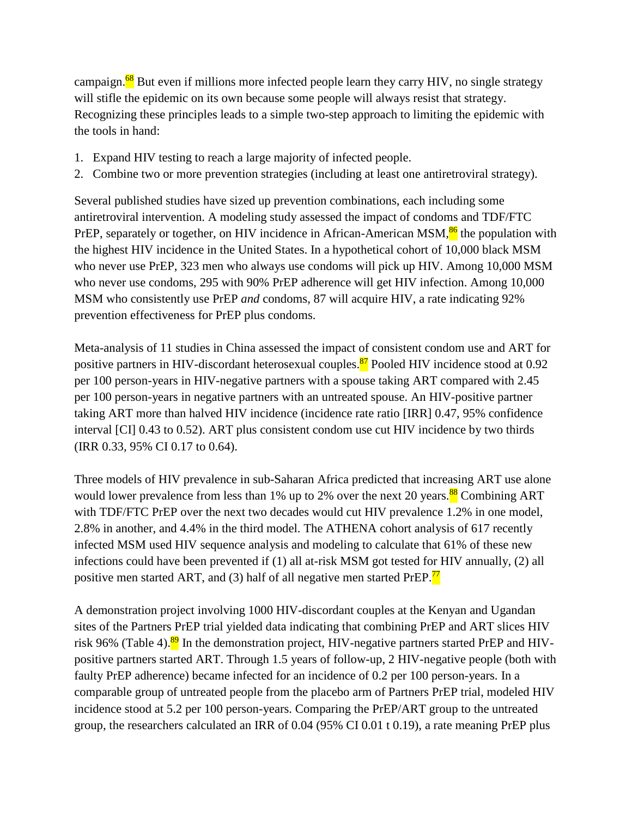campaign. $^{68}$  But even if millions more infected people learn they carry HIV, no single strategy will stifle the epidemic on its own because some people will always resist that strategy. Recognizing these principles leads to a simple two-step approach to limiting the epidemic with the tools in hand:

- 1. Expand HIV testing to reach a large majority of infected people.
- 2. Combine two or more prevention strategies (including at least one antiretroviral strategy).

Several published studies have sized up prevention combinations, each including some antiretroviral intervention. A modeling study assessed the impact of condoms and TDF/FTC PrEP, separately or together, on HIV incidence in African-American MSM,<sup>86</sup> the population with the highest HIV incidence in the United States. In a hypothetical cohort of 10,000 black MSM who never use PrEP, 323 men who always use condoms will pick up HIV. Among 10,000 MSM who never use condoms, 295 with 90% PrEP adherence will get HIV infection. Among 10,000 MSM who consistently use PrEP *and* condoms, 87 will acquire HIV, a rate indicating 92% prevention effectiveness for PrEP plus condoms.

Meta-analysis of 11 studies in China assessed the impact of consistent condom use and ART for positive partners in HIV-discordant heterosexual couples.<sup>87</sup> Pooled HIV incidence stood at 0.92 per 100 person-years in HIV-negative partners with a spouse taking ART compared with 2.45 per 100 person-years in negative partners with an untreated spouse. An HIV-positive partner taking ART more than halved HIV incidence (incidence rate ratio [IRR] 0.47, 95% confidence interval [CI] 0.43 to 0.52). ART plus consistent condom use cut HIV incidence by two thirds (IRR 0.33, 95% CI 0.17 to 0.64).

Three models of HIV prevalence in sub-Saharan Africa predicted that increasing ART use alone would lower prevalence from less than 1% up to 2% over the next 20 years.<sup>88</sup> Combining ART with TDF/FTC PrEP over the next two decades would cut HIV prevalence 1.2% in one model, 2.8% in another, and 4.4% in the third model. The ATHENA cohort analysis of 617 recently infected MSM used HIV sequence analysis and modeling to calculate that 61% of these new infections could have been prevented if (1) all at-risk MSM got tested for HIV annually, (2) all positive men started ART, and (3) half of all negative men started PrEP. $^{77}$ 

A demonstration project involving 1000 HIV-discordant couples at the Kenyan and Ugandan sites of the Partners PrEP trial yielded data indicating that combining PrEP and ART slices HIV risk 96% (Table 4).<sup>89</sup> In the demonstration project, HIV-negative partners started PrEP and HIVpositive partners started ART. Through 1.5 years of follow-up, 2 HIV-negative people (both with faulty PrEP adherence) became infected for an incidence of 0.2 per 100 person-years. In a comparable group of untreated people from the placebo arm of Partners PrEP trial, modeled HIV incidence stood at 5.2 per 100 person-years. Comparing the PrEP/ART group to the untreated group, the researchers calculated an IRR of 0.04 (95% CI 0.01 t 0.19), a rate meaning PrEP plus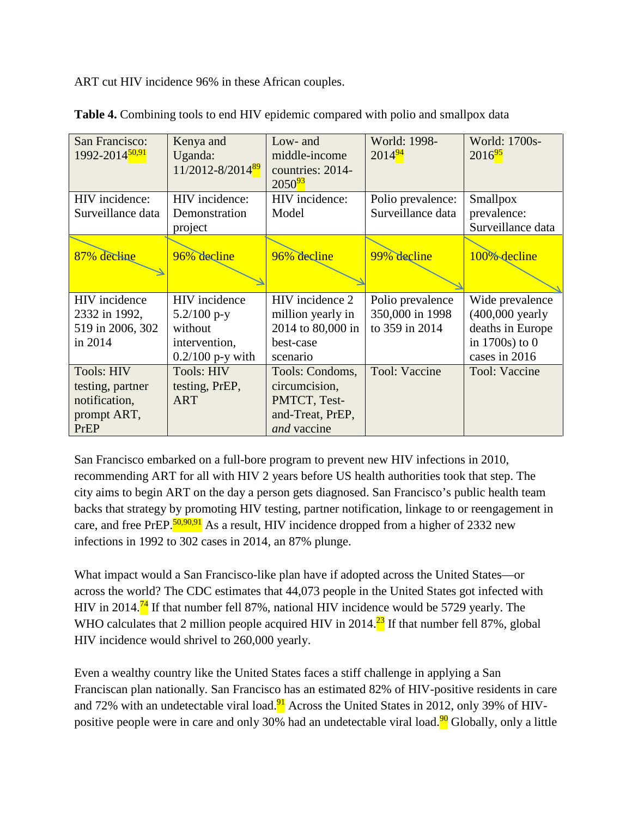ART cut HIV incidence 96% in these African couples.

| San Francisco:<br>1992-2014 <sup>50,91</sup>                                  | Kenya and<br>Uganda:<br>11/2012-8/2014 <sup>89</sup>                             | Low- and<br>middle-income<br>countries: 2014-<br>$2050^{93}$                        | World: 1998-<br>$2014^{94}$                           | World: 1700s-<br>$2016^{95}$                                                                   |
|-------------------------------------------------------------------------------|----------------------------------------------------------------------------------|-------------------------------------------------------------------------------------|-------------------------------------------------------|------------------------------------------------------------------------------------------------|
| HIV incidence:<br>Surveillance data                                           | HIV incidence:<br>Demonstration<br>project                                       | HIV incidence:<br>Model                                                             | Polio prevalence:<br>Surveillance data                | Smallpox<br>prevalence:<br>Surveillance data                                                   |
| 87% decline                                                                   | 96% decline                                                                      | 96% decline                                                                         | 99% decline                                           | 100% decline                                                                                   |
| HIV incidence<br>2332 in 1992,<br>519 in 2006, 302<br>in 2014                 | HIV incidence<br>$5.2/100$ p-y<br>without<br>intervention,<br>$0.2/100$ p-y with | HIV incidence 2<br>million yearly in<br>2014 to 80,000 in<br>best-case<br>scenario  | Polio prevalence<br>350,000 in 1998<br>to 359 in 2014 | Wide prevalence<br>$(400,000$ yearly<br>deaths in Europe<br>in $1700s$ ) to 0<br>cases in 2016 |
| <b>Tools: HIV</b><br>testing, partner<br>notification,<br>prompt ART,<br>PrEP | <b>Tools: HIV</b><br>testing, PrEP,<br><b>ART</b>                                | Tools: Condoms,<br>circumcision,<br>PMTCT, Test-<br>and-Treat, PrEP,<br>and vaccine | Tool: Vaccine                                         | Tool: Vaccine                                                                                  |

**Table 4.** Combining tools to end HIV epidemic compared with polio and smallpox data

San Francisco embarked on a full-bore program to prevent new HIV infections in 2010, recommending ART for all with HIV 2 years before US health authorities took that step. The city aims to begin ART on the day a person gets diagnosed. San Francisco's public health team backs that strategy by promoting HIV testing, partner notification, linkage to or reengagement in care, and free PrEP.<sup>50,90,91</sup> As a result, HIV incidence dropped from a higher of 2332 new infections in 1992 to 302 cases in 2014, an 87% plunge.

What impact would a San Francisco-like plan have if adopted across the United States—or across the world? The CDC estimates that 44,073 people in the United States got infected with HIV in 2014.<sup>74</sup> If that number fell 87%, national HIV incidence would be 5729 yearly. The WHO calculates that 2 million people acquired HIV in 2014.<sup>23</sup> If that number fell 87%, global HIV incidence would shrivel to 260,000 yearly.

Even a wealthy country like the United States faces a stiff challenge in applying a San Franciscan plan nationally. San Francisco has an estimated 82% of HIV-positive residents in care and 72% with an undetectable viral load. $\frac{91}{1}$  Across the United States in 2012, only 39% of HIVpositive people were in care and only 30% had an undetectable viral load.<sup>90</sup> Globally, only a little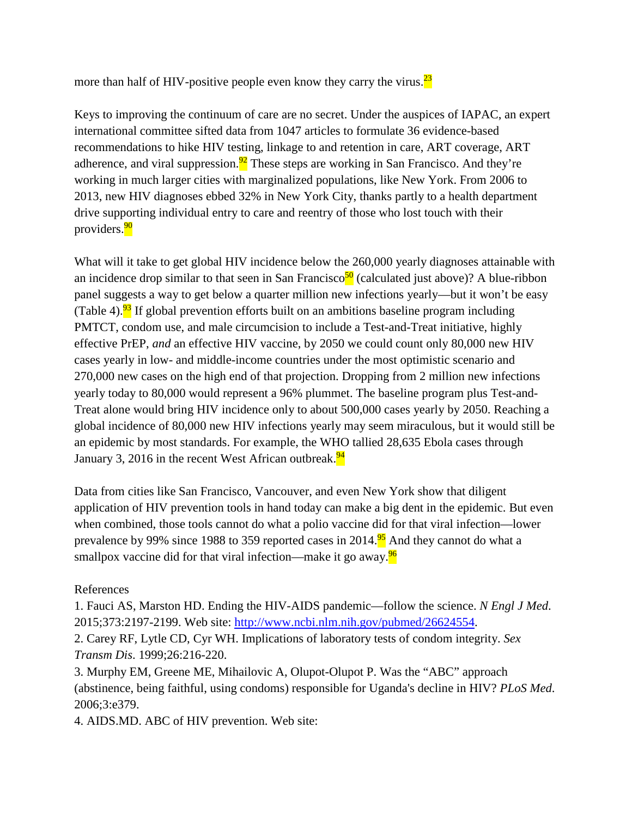more than half of HIV-positive people even know they carry the virus. $\frac{23}{2}$ 

Keys to improving the continuum of care are no secret. Under the auspices of IAPAC, an expert international committee sifted data from 1047 articles to formulate 36 evidence-based recommendations to hike HIV testing, linkage to and retention in care, ART coverage, ART adherence, and viral suppression.<sup>92</sup> These steps are working in San Francisco. And they're working in much larger cities with marginalized populations, like New York. From 2006 to 2013, new HIV diagnoses ebbed 32% in New York City, thanks partly to a health department drive supporting individual entry to care and reentry of those who lost touch with their providers.<sup>90</sup>

What will it take to get global HIV incidence below the 260,000 yearly diagnoses attainable with an incidence drop similar to that seen in San Francisco<sup>50</sup> (calculated just above)? A blue-ribbon panel suggests a way to get below a quarter million new infections yearly—but it won't be easy (Table 4).<sup>93</sup> If global prevention efforts built on an ambitions baseline program including PMTCT, condom use, and male circumcision to include a Test-and-Treat initiative, highly effective PrEP, *and* an effective HIV vaccine, by 2050 we could count only 80,000 new HIV cases yearly in low- and middle-income countries under the most optimistic scenario and 270,000 new cases on the high end of that projection. Dropping from 2 million new infections yearly today to 80,000 would represent a 96% plummet. The baseline program plus Test-and-Treat alone would bring HIV incidence only to about 500,000 cases yearly by 2050. Reaching a global incidence of 80,000 new HIV infections yearly may seem miraculous, but it would still be an epidemic by most standards. For example, the WHO tallied 28,635 Ebola cases through January 3, 2016 in the recent West African outbreak.<sup>94</sup>

Data from cities like San Francisco, Vancouver, and even New York show that diligent application of HIV prevention tools in hand today can make a big dent in the epidemic. But even when combined, those tools cannot do what a polio vaccine did for that viral infection—lower prevalence by 99% since 1988 to 359 reported cases in 2014.<sup>95</sup> And they cannot do what a smallpox vaccine did for that viral infection—make it go away.<sup>96</sup>

References

1. Fauci AS, Marston HD. Ending the HIV-AIDS pandemic—follow the science. *N Engl J Med*. 2015;373:2197-2199. Web site: [http://www.ncbi.nlm.nih.gov/pubmed/26624554.](http://www.ncbi.nlm.nih.gov/pubmed/26624554)

2. Carey RF, Lytle CD, Cyr WH. Implications of laboratory tests of condom integrity. *Sex Transm Dis*. 1999;26:216-220.

3. Murphy EM, Greene ME, Mihailovic A, Olupot-Olupot P. Was the "ABC" approach (abstinence, being faithful, using condoms) responsible for Uganda's decline in HIV? *PLoS Med*. 2006;3:e379.

4. AIDS.MD. ABC of HIV prevention. Web site: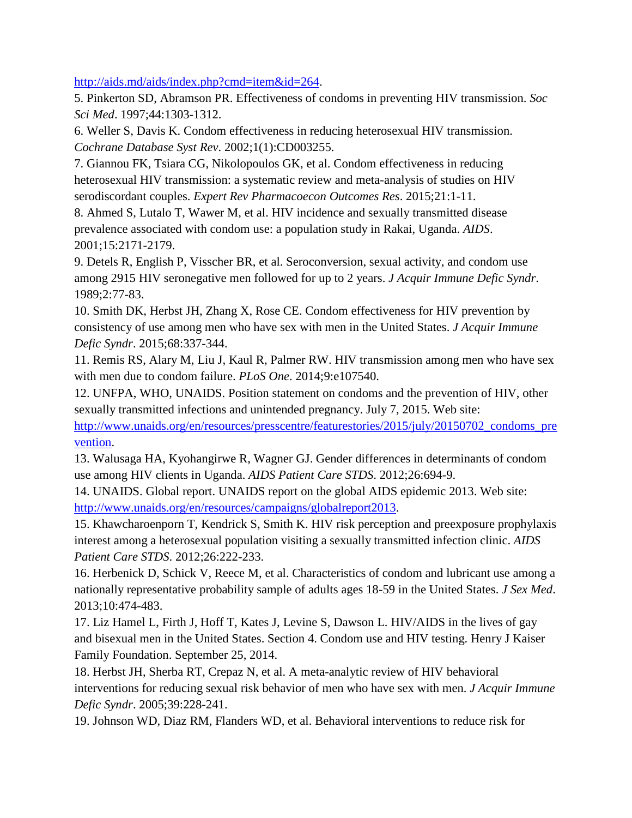[http://aids.md/aids/index.php?cmd=item&id=264.](http://aids.md/aids/index.php?cmd=item&id=264)

5. Pinkerton SD, Abramson PR. Effectiveness of condoms in preventing HIV transmission. *Soc Sci Med*. 1997;44:1303-1312.

6. Weller S, Davis K. Condom effectiveness in reducing heterosexual HIV transmission. *Cochrane Database Syst Rev*. 2002;1(1):CD003255.

7. Giannou FK, Tsiara CG, Nikolopoulos GK, et al. Condom effectiveness in reducing heterosexual HIV transmission: a systematic review and meta-analysis of studies on HIV serodiscordant couples. *Expert Rev Pharmacoecon Outcomes Res*. 2015;21:1-11.

8. Ahmed S, Lutalo T, Wawer M, et al. HIV incidence and sexually transmitted disease prevalence associated with condom use: a population study in Rakai, Uganda. *AIDS*. 2001;15:2171-2179.

9. Detels R, English P, Visscher BR, et al. Seroconversion, sexual activity, and condom use among 2915 HIV seronegative men followed for up to 2 years. *J Acquir Immune Defic Syndr*. 1989;2:77-83.

10. Smith DK, Herbst JH, Zhang X, Rose CE. Condom effectiveness for HIV prevention by consistency of use among men who have sex with men in the United States. *J Acquir Immune Defic Syndr*. 2015;68:337-344.

11. Remis RS, Alary M, Liu J, Kaul R, Palmer RW. HIV transmission among men who have sex with men due to condom failure. *PLoS One*. 2014;9:e107540.

12. UNFPA, WHO, UNAIDS. Position statement on condoms and the prevention of HIV, other sexually transmitted infections and unintended pregnancy. July 7, 2015. Web site:

[http://www.unaids.org/en/resources/presscentre/featurestories/2015/july/20150702\\_condoms\\_pre](http://www.unaids.org/en/resources/presscentre/featurestories/2015/july/20150702_condoms_prevention) [vention.](http://www.unaids.org/en/resources/presscentre/featurestories/2015/july/20150702_condoms_prevention)

13. Walusaga HA, Kyohangirwe R, Wagner GJ. Gender differences in determinants of condom use among HIV clients in Uganda. *AIDS Patient Care STDS*. 2012;26:694-9.

14. UNAIDS. Global report. UNAIDS report on the global AIDS epidemic 2013. Web site: [http://www.unaids.org/en/resources/campaigns/globalreport2013.](http://www.unaids.org/en/resources/campaigns/globalreport2013)

15. Khawcharoenporn T, Kendrick S, Smith K. HIV risk perception and preexposure prophylaxis interest among a heterosexual population visiting a sexually transmitted infection clinic. *AIDS Patient Care STDS*. 2012;26:222-233.

16. Herbenick D, Schick V, Reece M, et al. Characteristics of condom and lubricant use among a nationally representative probability sample of adults ages 18-59 in the United States. *J Sex Med*. 2013;10:474-483.

17. Liz Hamel L, Firth J, Hoff T, Kates J, Levine S, Dawson L. HIV/AIDS in the lives of gay and bisexual men in the United States. Section 4. Condom use and HIV testing. Henry J Kaiser Family Foundation. September 25, 2014.

18. Herbst JH, Sherba RT, Crepaz N, et al. A meta-analytic review of HIV behavioral interventions for reducing sexual risk behavior of men who have sex with men. *J Acquir Immune Defic Syndr*. 2005;39:228-241.

19. Johnson WD, Diaz RM, Flanders WD, et al. Behavioral interventions to reduce risk for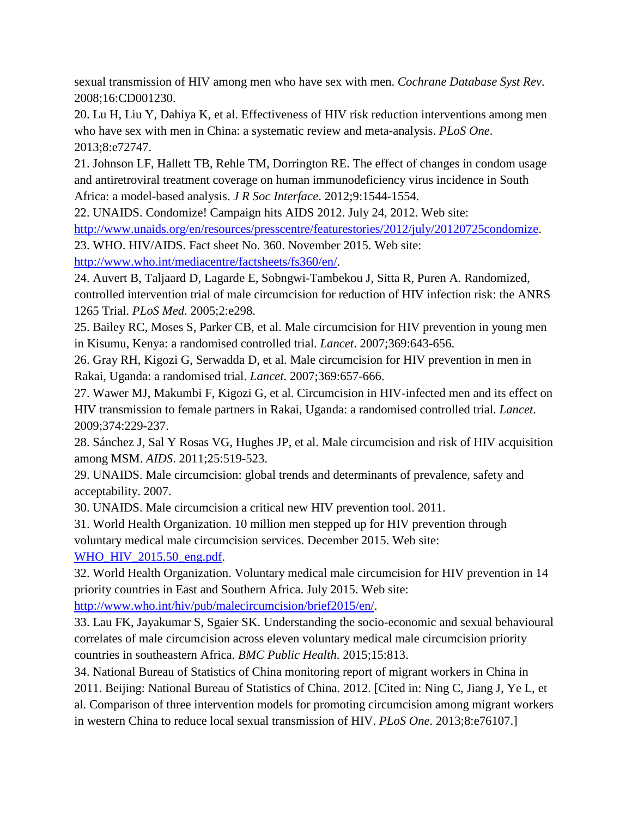sexual transmission of HIV among men who have sex with men. *Cochrane Database Syst Rev*. 2008;16:CD001230.

20. Lu H, Liu Y, Dahiya K, et al. Effectiveness of HIV risk reduction interventions among men who have sex with men in China: a systematic review and meta-analysis. *PLoS One*. 2013;8:e72747.

21. Johnson LF, Hallett TB, Rehle TM, Dorrington RE. The effect of changes in condom usage and antiretroviral treatment coverage on human immunodeficiency virus incidence in South Africa: a model-based analysis. *J R Soc Interface*. 2012;9:1544-1554.

22. UNAIDS. Condomize! Campaign hits AIDS 2012. July 24, 2012. Web site:

[http://www.unaids.org/en/resources/presscentre/featurestories/2012/july/20120725condomize.](http://www.unaids.org/en/resources/presscentre/featurestories/2012/july/20120725condomize)

23. WHO. HIV/AIDS. Fact sheet No. 360. November 2015. Web site:

[http://www.who.int/mediacentre/factsheets/fs360/en/.](http://www.who.int/mediacentre/factsheets/fs360/en/)

24. Auvert B, Taljaard D, Lagarde E, Sobngwi-Tambekou J, Sitta R, Puren A. Randomized, controlled intervention trial of male circumcision for reduction of HIV infection risk: the ANRS 1265 Trial. *PLoS Med*. 2005;2:e298.

25. Bailey RC, Moses S, Parker CB, et al. Male circumcision for HIV prevention in young men in Kisumu, Kenya: a randomised controlled trial. *Lancet*. 2007;369:643-656.

26. Gray RH, Kigozi G, Serwadda D, et al. Male circumcision for HIV prevention in men in Rakai, Uganda: a randomised trial. *Lancet*. 2007;369:657-666.

27. Wawer MJ, Makumbi F, Kigozi G, et al. Circumcision in HIV-infected men and its effect on HIV transmission to female partners in Rakai, Uganda: a randomised controlled trial. *Lancet*. 2009;374:229-237.

28. Sánchez J, Sal Y Rosas VG, Hughes JP, et al. Male circumcision and risk of HIV acquisition among MSM. *AIDS*. 2011;25:519-523.

29. UNAIDS. Male circumcision: global trends and determinants of prevalence, safety and acceptability. 2007.

30. UNAIDS. Male circumcision a critical new HIV prevention tool. 2011.

31. World Health Organization. 10 million men stepped up for HIV prevention through voluntary medical male circumcision services. December 2015. Web site: [WHO\\_HIV\\_2015.50\\_eng.pdf.](http://apps.who.int/iris/bitstream/10665/202249/1/WHO_HIV_2015.50_eng.pdf)

32. World Health Organization. Voluntary medical male circumcision for HIV prevention in 14 priority countries in East and Southern Africa. July 2015. Web site:

[http://www.who.int/hiv/pub/malecircumcision/brief2015/en/.](http://www.who.int/hiv/pub/malecircumcision/brief2015/en/)

33. Lau FK, Jayakumar S, Sgaier SK. Understanding the socio-economic and sexual behavioural correlates of male circumcision across eleven voluntary medical male circumcision priority countries in southeastern Africa. *BMC Public Health*. 2015;15:813.

34. National Bureau of Statistics of China monitoring report of migrant workers in China in 2011. Beijing: National Bureau of Statistics of China. 2012. [Cited in: Ning C, Jiang J, Ye L, et al. Comparison of three intervention models for promoting circumcision among migrant workers in western China to reduce local sexual transmission of HIV. *PLoS One*. 2013;8:e76107.]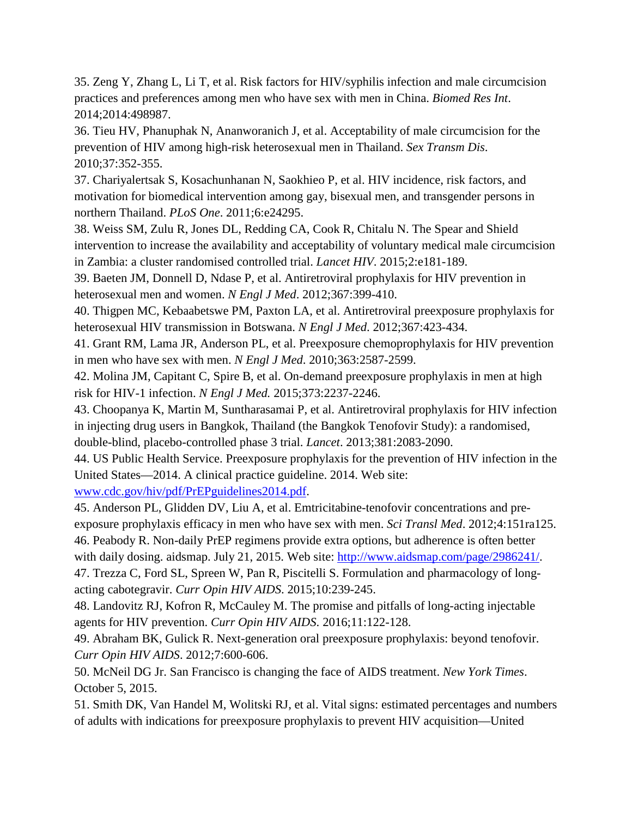35. Zeng Y, Zhang L, Li T, et al. Risk factors for HIV/syphilis infection and male circumcision practices and preferences among men who have sex with men in China. *Biomed Res Int*. 2014;2014:498987.

36. Tieu HV, Phanuphak N, Ananworanich J, et al. Acceptability of male circumcision for the prevention of HIV among high-risk heterosexual men in Thailand. *Sex Transm Dis*. 2010;37:352-355.

37. Chariyalertsak S, Kosachunhanan N, Saokhieo P, et al. HIV incidence, risk factors, and motivation for biomedical intervention among gay, bisexual men, and transgender persons in northern Thailand. *PLoS One*. 2011;6:e24295.

38. Weiss SM, Zulu R, Jones DL, Redding CA, Cook R, Chitalu N. The Spear and Shield intervention to increase the availability and acceptability of voluntary medical male circumcision in Zambia: a cluster randomised controlled trial. *Lancet HIV*. 2015;2:e181-189.

39. Baeten JM, Donnell D, Ndase P, et al. Antiretroviral prophylaxis for HIV prevention in heterosexual men and women. *N Engl J Med*. 2012;367:399-410.

40. Thigpen MC, Kebaabetswe PM, Paxton LA, et al. Antiretroviral preexposure prophylaxis for heterosexual HIV transmission in Botswana. *N Engl J Med*. 2012;367:423-434.

41. Grant RM, Lama JR, Anderson PL, et al. Preexposure chemoprophylaxis for HIV prevention in men who have sex with men. *N Engl J Med*. 2010;363:2587-2599.

42. Molina JM, Capitant C, Spire B, et al. On-demand preexposure prophylaxis in men at high risk for HIV-1 infection. *N Engl J Med.* 2015;373:2237-2246.

43. Choopanya K, Martin M, Suntharasamai P, et al. Antiretroviral prophylaxis for HIV infection in injecting drug users in Bangkok, Thailand (the Bangkok Tenofovir Study): a randomised, double-blind, placebo-controlled phase 3 trial. *Lancet*. 2013;381:2083-2090.

44. US Public Health Service. Preexposure prophylaxis for the prevention of HIV infection in the United States—2014. A clinical practice guideline. 2014. Web site:

[www.cdc.gov/hiv/pdf/PrEPguidelines2014.pdf.](http://www.cdc.gov/hiv/pdf/PrEPguidelines2014.pdf)

45. Anderson PL, Glidden DV, Liu A, et al. Emtricitabine-tenofovir concentrations and preexposure prophylaxis efficacy in men who have sex with men. *Sci Transl Med*. 2012;4:151ra125. 46. Peabody R. Non-daily PrEP regimens provide extra options, but adherence is often better with daily dosing. aidsmap. July 21, 2015. Web site: [http://www.aidsmap.com/page/2986241/.](http://www.aidsmap.com/page/2986241/)

47. Trezza C, Ford SL, Spreen W, Pan R, Piscitelli S. Formulation and pharmacology of longacting cabotegravir. *Curr Opin HIV AIDS*. 2015;10:239-245.

48. Landovitz RJ, Kofron R, McCauley M. The promise and pitfalls of long-acting injectable agents for HIV prevention. *Curr Opin HIV AIDS*. 2016;11:122-128.

49. Abraham BK, Gulick R. Next-generation oral preexposure prophylaxis: beyond tenofovir. *Curr Opin HIV AIDS*. 2012;7:600-606.

50. McNeil DG Jr. San Francisco is changing the face of AIDS treatment. *New York Times*. October 5, 2015.

51. Smith DK, Van Handel M, Wolitski RJ, et al. Vital signs: estimated percentages and numbers of adults with indications for preexposure prophylaxis to prevent HIV acquisition—United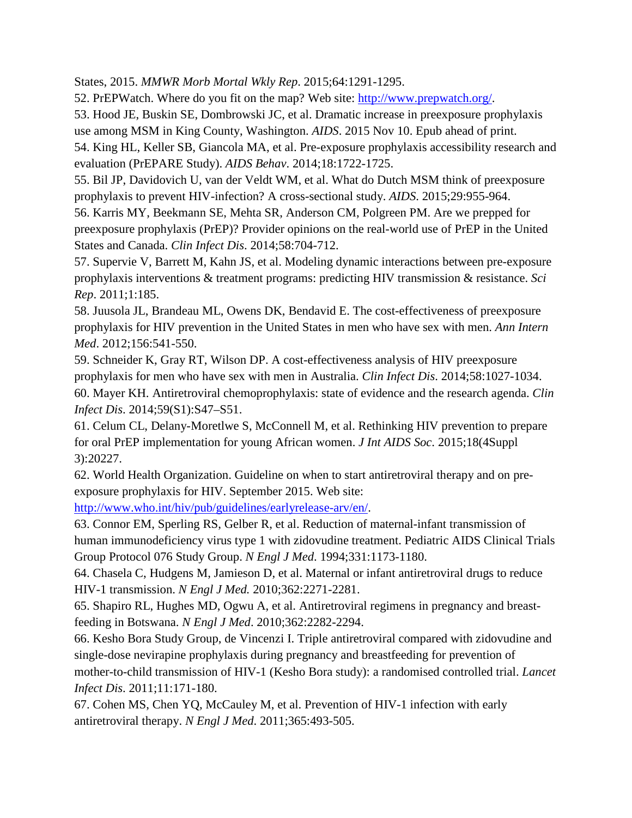States, 2015. *MMWR Morb Mortal Wkly Rep*. 2015;64:1291-1295.

52. PrEPWatch. Where do you fit on the map? Web site: [http://www.prepwatch.org/.](http://www.prepwatch.org/)

53. Hood JE, Buskin SE, Dombrowski JC, et al. Dramatic increase in preexposure prophylaxis

use among MSM in King County, Washington. *AIDS*. 2015 Nov 10. Epub ahead of print. 54. King HL, Keller SB, Giancola MA, et al. Pre-exposure prophylaxis accessibility research and

evaluation (PrEPARE Study). *AIDS Behav*. 2014;18:1722-1725.

55. Bil JP, Davidovich U, van der Veldt WM, et al. What do Dutch MSM think of preexposure prophylaxis to prevent HIV-infection? A cross-sectional study. *AIDS*. 2015;29:955-964.

56. Karris MY, Beekmann SE, Mehta SR, Anderson CM, Polgreen PM. Are we prepped for preexposure prophylaxis (PrEP)? Provider opinions on the real-world use of PrEP in the United States and Canada. *Clin Infect Dis*. 2014;58:704-712.

57. Supervie V, Barrett M, Kahn JS, et al. Modeling dynamic interactions between pre-exposure prophylaxis interventions & treatment programs: predicting HIV transmission & resistance. *Sci Rep*. 2011;1:185.

58. Juusola JL, Brandeau ML, Owens DK, Bendavid E. The cost-effectiveness of preexposure prophylaxis for HIV prevention in the United States in men who have sex with men. *Ann Intern Med*. 2012;156:541-550.

59. Schneider K, Gray RT, Wilson DP. A cost-effectiveness analysis of HIV preexposure prophylaxis for men who have sex with men in Australia. *Clin Infect Dis*. 2014;58:1027-1034. 60. Mayer KH. Antiretroviral chemoprophylaxis: state of evidence and the research agenda. *Clin Infect Dis*. 2014;59(S1):S47–S51.

61. Celum CL, Delany-Moretlwe S, McConnell M, et al. Rethinking HIV prevention to prepare for oral PrEP implementation for young African women. *J Int AIDS Soc*. 2015;18(4Suppl 3):20227.

62. World Health Organization. Guideline on when to start antiretroviral therapy and on preexposure prophylaxis for HIV. September 2015. Web site:

[http://www.who.int/hiv/pub/guidelines/earlyrelease-arv/en/.](http://www.who.int/hiv/pub/guidelines/earlyrelease-arv/en/)

63. Connor EM, Sperling RS, Gelber R, et al. Reduction of maternal-infant transmission of human immunodeficiency virus type 1 with zidovudine treatment. Pediatric AIDS Clinical Trials Group Protocol 076 Study Group. *N Engl J Med*. 1994;331:1173-1180.

64. Chasela C, Hudgens M, Jamieson D, et al. Maternal or infant antiretroviral drugs to reduce HIV-1 transmission. *N Engl J Med.* 2010;362:2271-2281.

65. Shapiro RL, Hughes MD, Ogwu A, et al. Antiretroviral regimens in pregnancy and breastfeeding in Botswana. *N Engl J Med*. 2010;362:2282-2294.

66. Kesho Bora Study Group, de Vincenzi I. Triple antiretroviral compared with zidovudine and single-dose nevirapine prophylaxis during pregnancy and breastfeeding for prevention of mother-to-child transmission of HIV-1 (Kesho Bora study): a randomised controlled trial. *Lancet Infect Dis*. 2011;11:171-180.

67. Cohen MS, Chen YQ, McCauley M, et al. Prevention of HIV-1 infection with early antiretroviral therapy. *N Engl J Med*. 2011;365:493-505.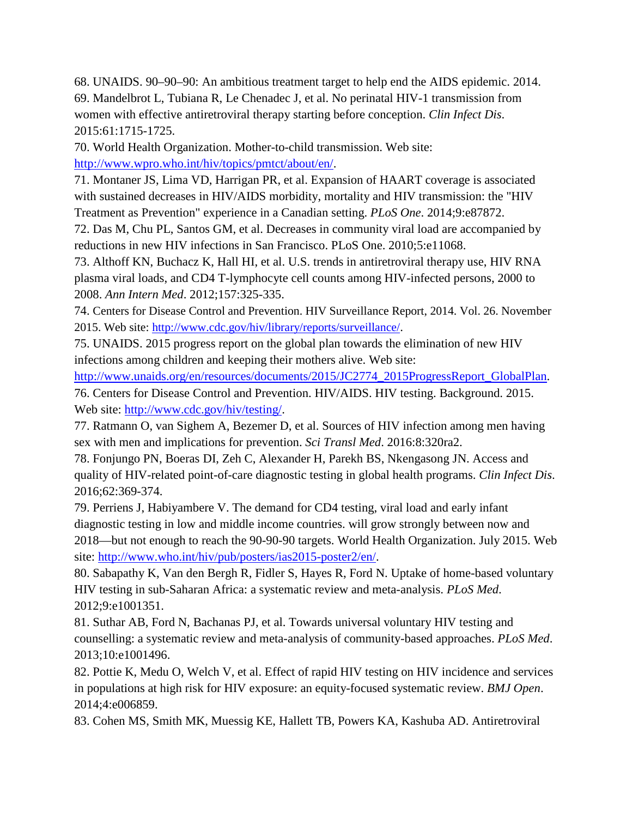68. UNAIDS. 90–90–90: An ambitious treatment target to help end the AIDS epidemic. 2014. 69. Mandelbrot L, Tubiana R, Le Chenadec J, et al. No perinatal HIV-1 transmission from women with effective antiretroviral therapy starting before conception. *Clin Infect Dis*. 2015:61:1715-1725.

70. World Health Organization. Mother-to-child transmission. Web site: [http://www.wpro.who.int/hiv/topics/pmtct/about/en/.](http://www.wpro.who.int/hiv/topics/pmtct/about/en/)

71. Montaner JS, Lima VD, Harrigan PR, et al. Expansion of HAART coverage is associated with sustained decreases in HIV/AIDS morbidity, mortality and HIV transmission: the "HIV Treatment as Prevention" experience in a Canadian setting. *PLoS One*. 2014;9:e87872.

72. Das M, Chu PL, Santos GM, et al. Decreases in community viral load are accompanied by reductions in new HIV infections in San Francisco. PLoS One. 2010;5:e11068.

73. Althoff KN, Buchacz K, Hall HI, et al. U.S. trends in antiretroviral therapy use, HIV RNA plasma viral loads, and CD4 T-lymphocyte cell counts among HIV-infected persons, 2000 to 2008. *Ann Intern Med*. 2012;157:325-335.

74. Centers for Disease Control and Prevention. HIV Surveillance Report, 2014. Vol. 26. November 2015. Web site: [http://www.cdc.gov/hiv/library/reports/surveillance/.](http://www.cdc.gov/hiv/library/reports/surveillance/)

75. UNAIDS. 2015 progress report on the global plan towards the elimination of new HIV infections among children and keeping their mothers alive. Web site:

[http://www.unaids.org/en/resources/documents/2015/JC2774\\_2015ProgressReport\\_GlobalPlan.](http://www.unaids.org/en/resources/documents/2015/JC2774_2015ProgressReport_GlobalPlan)

76. Centers for Disease Control and Prevention. HIV/AIDS. HIV testing. Background. 2015. Web site: [http://www.cdc.gov/hiv/testing/.](http://www.cdc.gov/hiv/testing/)

77. Ratmann O, van Sighem A, Bezemer D, et al. Sources of HIV infection among men having sex with men and implications for prevention. *Sci Transl Med*. 2016:8:320ra2.

78. Fonjungo PN, Boeras DI, Zeh C, Alexander H, Parekh BS, Nkengasong JN. Access and quality of HIV-related point-of-care diagnostic testing in global health programs. *Clin Infect Dis*. 2016;62:369-374.

79. Perriens J, Habiyambere V. The demand for CD4 testing, viral load and early infant diagnostic testing in low and middle income countries. will grow strongly between now and 2018—but not enough to reach the 90-90-90 targets. World Health Organization. July 2015. Web site: [http://www.who.int/hiv/pub/posters/ias2015-poster2/en/.](http://www.who.int/hiv/pub/posters/ias2015-poster2/en/)

80. Sabapathy K, Van den Bergh R, Fidler S, Hayes R, Ford N. Uptake of home-based voluntary HIV testing in sub-Saharan Africa: a systematic review and meta-analysis. *PLoS Med*. 2012;9:e1001351.

81. Suthar AB, Ford N, Bachanas PJ, et al. Towards universal voluntary HIV testing and counselling: a systematic review and meta-analysis of community-based approaches. *PLoS Med*. 2013;10:e1001496.

82. Pottie K, Medu O, Welch V, et al. Effect of rapid HIV testing on HIV incidence and services in populations at high risk for HIV exposure: an equity-focused systematic review. *BMJ Open*. 2014;4:e006859.

83. Cohen MS, Smith MK, Muessig KE, Hallett TB, Powers KA, Kashuba AD. Antiretroviral